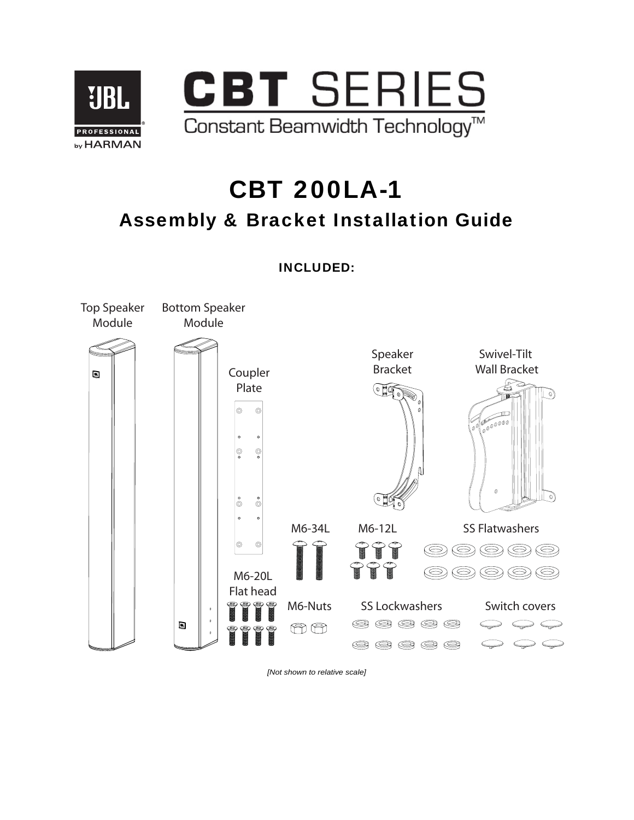

# CBT 200LA-1 Assembly & Bracket Installation Guide

INCLUDED:



*[Not shown to relative scale]*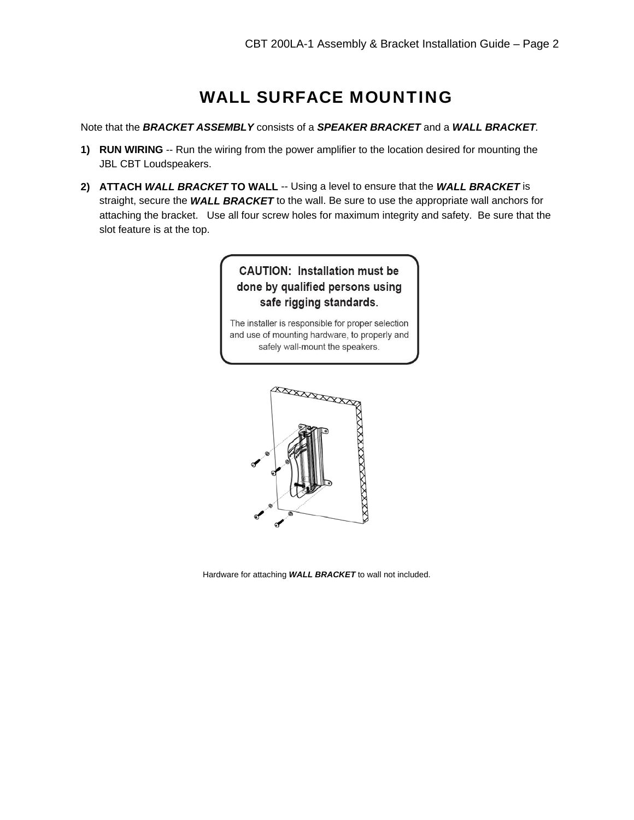# WALL SURFACE MOUNTING

Note that the *BRACKET ASSEMBLY* consists of a *SPEAKER BRACKET* and a *WALL BRACKET.* 

- **1) RUN WIRING** -- Run the wiring from the power amplifier to the location desired for mounting the JBL CBT Loudspeakers.
- **2) ATTACH** *WALL BRACKET* **TO WALL** -- Using a level to ensure that the *WALL BRACKET* is straight, secure the *WALL BRACKET* to the wall. Be sure to use the appropriate wall anchors for attaching the bracket. Use all four screw holes for maximum integrity and safety. Be sure that the slot feature is at the top.

## **CAUTION: Installation must be** done by qualified persons using safe rigging standards.

The installer is responsible for proper selection and use of mounting hardware, to properly and safely wall-mount the speakers.



Hardware for attaching *WALL BRACKET* to wall not included.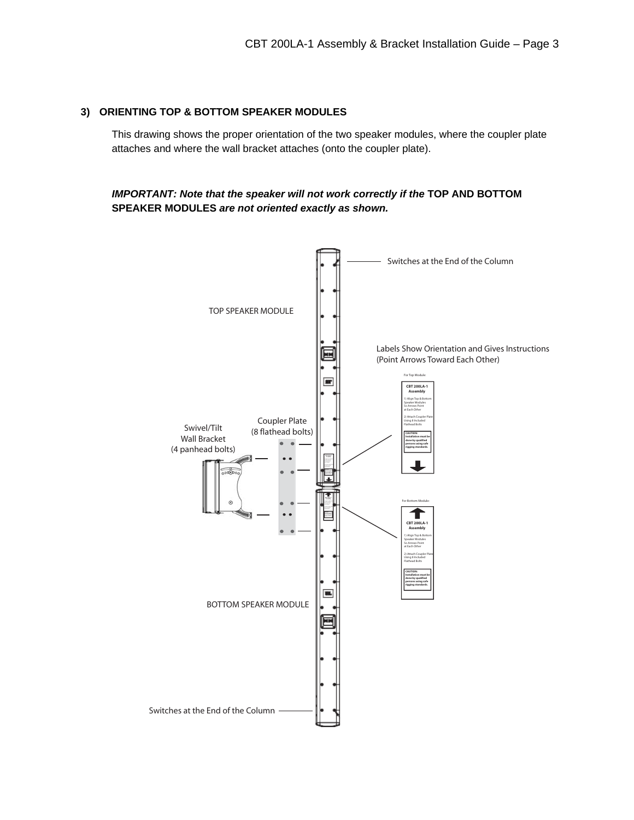#### **3) ORIENTING TOP & BOTTOM SPEAKER MODULES**

This drawing shows the proper orientation of the two speaker modules, where the coupler plate attaches and where the wall bracket attaches (onto the coupler plate).

#### **IMPORTANT: Note that the speaker will not work correctly if the TOP AND BOTTOM SPEAKER MODULES** *are not oriented exactly as shown.*

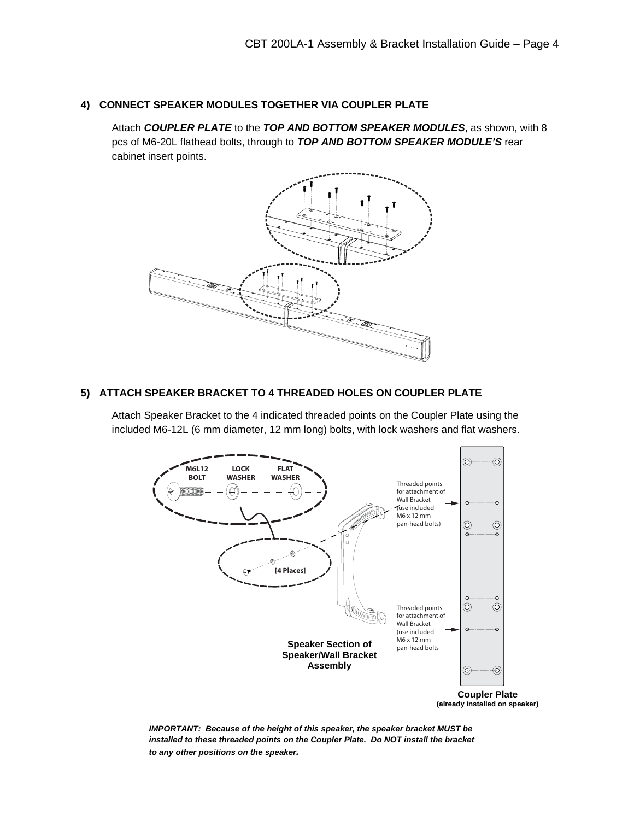#### **4) CONNECT SPEAKER MODULES TOGETHER VIA COUPLER PLATE**

Attach *COUPLER PLATE* to the *TOP AND BOTTOM SPEAKER MODULES*, as shown, with 8 pcs of M6-20L flathead bolts, through to *TOP AND BOTTOM SPEAKER MODULE'S* rear cabinet insert points.



#### **5) ATTACH SPEAKER BRACKET TO 4 THREADED HOLES ON COUPLER PLATE**

Attach Speaker Bracket to the 4 indicated threaded points on the Coupler Plate using the included M6-12L (6 mm diameter, 12 mm long) bolts, with lock washers and flat washers.



**Coupler Plate (already installed on speaker)** 

*IMPORTANT: Because of the height of this speaker, the speaker bracket MUST be installed to these threaded points on the Coupler Plate. Do NOT install the bracket to any other positions on the speaker.*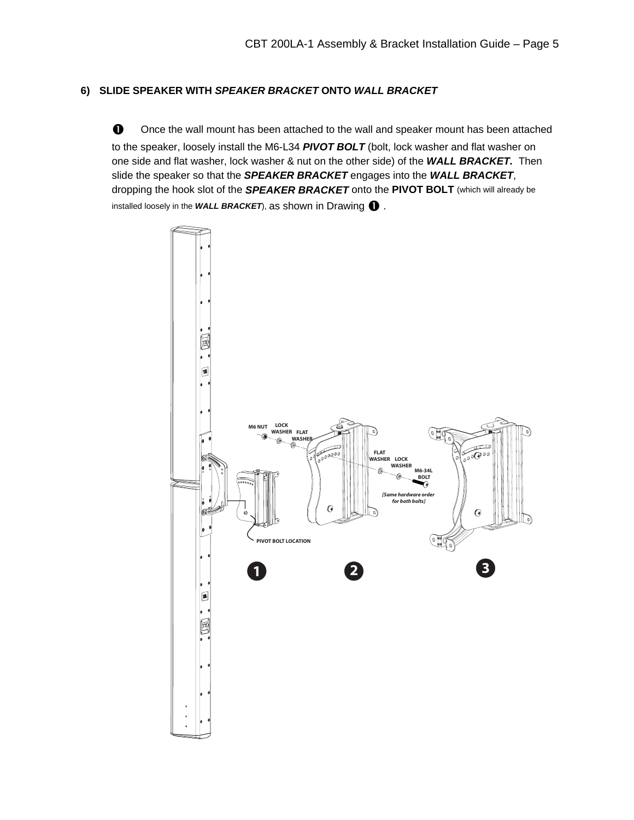#### **6) SLIDE SPEAKER WITH** *SPEAKER BRACKET* **ONTO** *WALL BRACKET*

 $\bullet$  Once the wall mount has been attached to the wall and speaker mount has been attached to the speaker, loosely install the M6-L34 *PIVOT BOLT* (bolt, lock washer and flat washer on one side and flat washer, lock washer & nut on the other side) of the *WALL BRACKET.* Then slide the speaker so that the *SPEAKER BRACKET* engages into the *WALL BRACKET*, dropping the hook slot of the *SPEAKER BRACKET* onto the **PIVOT BOLT** (which will already be installed loosely in the WALL BRACKET), as shown in Drawing  $\bigcirc$  .

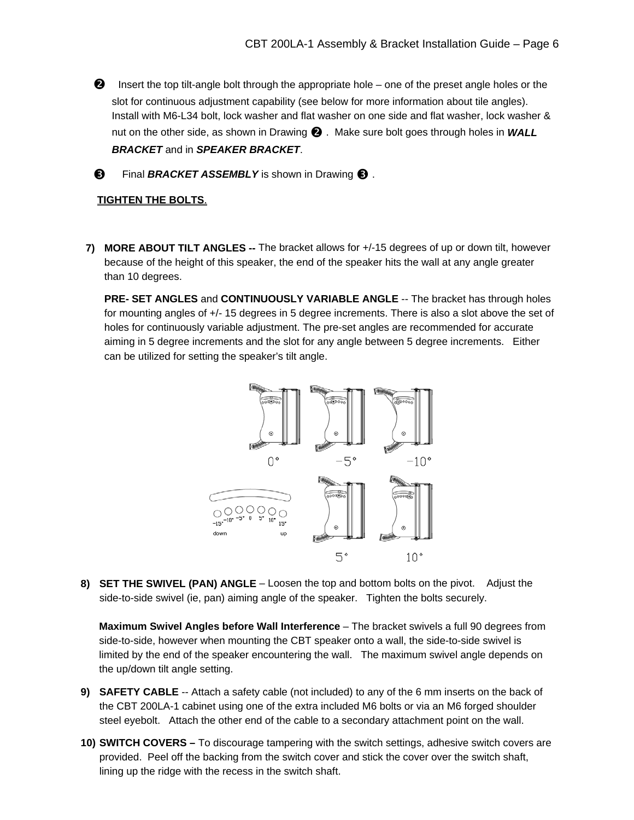- $\Theta$  Insert the top tilt-angle bolt through the appropriate hole one of the preset angle holes or the slot for continuous adjustment capability (see below for more information about tile angles). Install with M6-L34 bolt, lock washer and flat washer on one side and flat washer, lock washer & nut on the other side, as shown in Drawing **@**. Make sure bolt goes through holes in *WALL BRACKET* and in *SPEAKER BRACKET*.
- **9** Final *BRACKET ASSEMBLY* is shown in Drawing **8**.

#### **TIGHTEN THE BOLTS**.

**7) MORE ABOUT TILT ANGLES --** The bracket allows for +/-15 degrees of up or down tilt, however because of the height of this speaker, the end of the speaker hits the wall at any angle greater than 10 degrees.

**PRE- SET ANGLES** and **CONTINUOUSLY VARIABLE ANGLE** -- The bracket has through holes for mounting angles of +/- 15 degrees in 5 degree increments. There is also a slot above the set of holes for continuously variable adjustment. The pre-set angles are recommended for accurate aiming in 5 degree increments and the slot for any angle between 5 degree increments. Either can be utilized for setting the speaker's tilt angle.



**8) SET THE SWIVEL (PAN) ANGLE** – Loosen the top and bottom bolts on the pivot. Adjust the side-to-side swivel (ie, pan) aiming angle of the speaker. Tighten the bolts securely.

**Maximum Swivel Angles before Wall Interference** – The bracket swivels a full 90 degrees from side-to-side, however when mounting the CBT speaker onto a wall, the side-to-side swivel is limited by the end of the speaker encountering the wall. The maximum swivel angle depends on the up/down tilt angle setting.

- **9) SAFETY CABLE** -- Attach a safety cable (not included) to any of the 6 mm inserts on the back of the CBT 200LA-1 cabinet using one of the extra included M6 bolts or via an M6 forged shoulder steel eyebolt. Attach the other end of the cable to a secondary attachment point on the wall.
- **10) SWITCH COVERS –** To discourage tampering with the switch settings, adhesive switch covers are provided. Peel off the backing from the switch cover and stick the cover over the switch shaft, lining up the ridge with the recess in the switch shaft.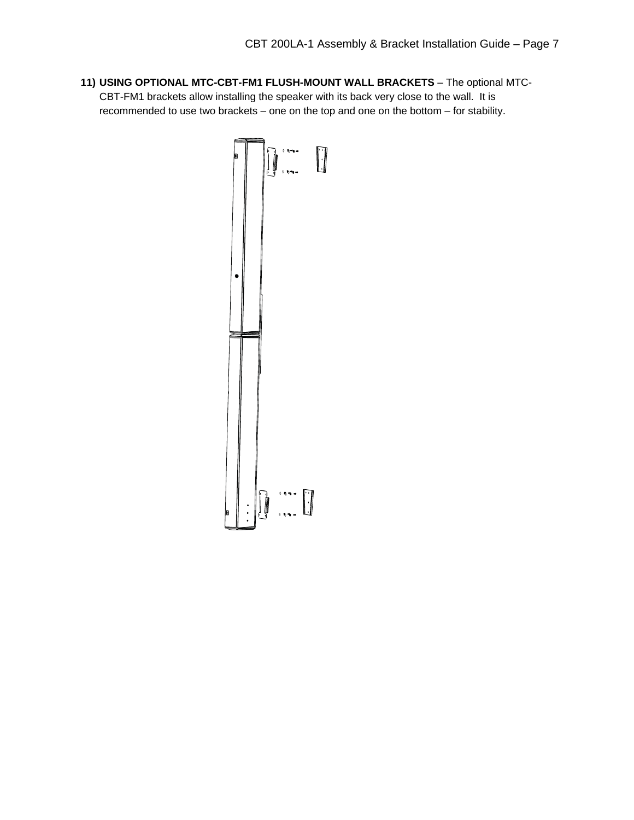**11) USING OPTIONAL MTC-CBT-FM1 FLUSH-MOUNT WALL BRACKETS** – The optional MTC-CBT-FM1 brackets allow installing the speaker with its back very close to the wall. It is recommended to use two brackets – one on the top and one on the bottom – for stability.